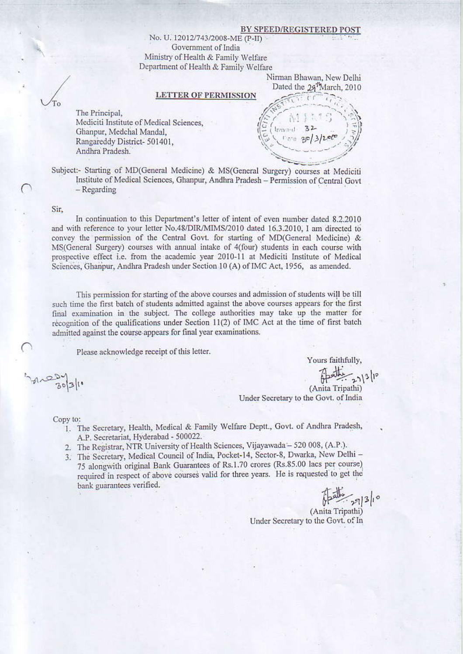#### **BY SPEED/REGISTERED**

No. U. 12012/743/2008-ME (P-II) Government of India Ministry of Health & Family Welfare Department of Health & Family Welfare

> Nirman Bhawan, New Delhi Dated the 29<sup>1</sup>March, 2010

### **LETTER OF PERMISSION**

 $Inward-32$ 

The Principal, Mediciti Institute of Medical Sciences, Ghanpur, Medchal Mandal, Rangareddy District-501401, Andhra Pradesh.

Subject:- Starting of MD(General Medicine) & MS(General Surgery) courses at Mediciti Institute of Medical Sciences, Ghanpur, Andhra Pradesh - Permission of Central Govt  $-$  Regarding

Sir.

In continuation to this Department's letter of intent of even number dated 8.2.2010 and with reference to your letter No.48/DIR/MIMS/2010 dated 16.3.2010, I am directed to convey the permission of the Central Govt. for starting of MD(General Medicine) & MS(General Surgery) courses with annual intake of 4(four) students in each course with prospective effect i.e. from the academic year 2010-11 at Mediciti Institute of Medical Sciences, Ghanpur, Andhra Pradesh under Section 10 (A) of IMC Act, 1956, as amended.

This permission for starting of the above courses and admission of students will be till such time the first batch of students admitted against the above courses appears for the first final examination in the subject. The college authorities may take up the matter for recognition of the qualifications under Section  $11(2)$  of IMC Act at the time of first batch admitted against the course appears for final year examinations.

Please acknowledge receipt of this letter.

 $31$ 

Fathing 21/3/10 (Anita Tripathi) Under Secretary to the Govt. of India

Yours faithfully,

Copy to: 1. The Secretary, Health, Medical & Family Welfare Deptt., Govt. of Andhra Pradesh, A.P. Secretariat, Hyderabad - 500022.

- 2. The Registrar, NTR University of Health Sciences, Vijayawada 520 008, (A.P.).
- 3. The Secretary, Medical Council of India, Pocket-14, Sector-8, Dwarka, New Delhi -75 alongwith original Bank Guarantees of Rs.1.70 crores (Rs.85.00 lacs per course) required in respect of above courses valid for three years. He is requested to get the bank guarantees verified.

path 993/10

(Anita Tripathi) Under Secretary to the Govt. of In